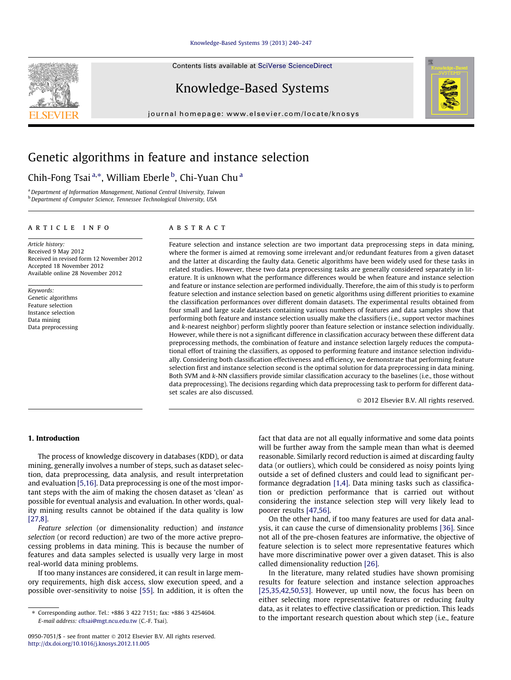#### [Knowledge-Based Systems 39 \(2013\) 240–247](http://dx.doi.org/10.1016/j.knosys.2012.11.005)

Contents lists available at [SciVerse ScienceDirect](http://www.sciencedirect.com/science/journal/09507051)

### Knowledge-Based Systems

journal homepage: [www.elsevier.com/locate/knosys](http://www.elsevier.com/locate/knosys)



## Genetic algorithms in feature and instance selection

### Chih-Fong Tsai <sup>a,\*</sup>, William Eberle <sup>b</sup>, Chi-Yuan Chu <sup>a</sup>

a Department of Information Management, National Central University, Taiwan b Department of Computer Science, Tennessee Technological University, USA

#### article info

Article history: Received 9 May 2012 Received in revised form 12 November 2012 Accepted 18 November 2012 Available online 28 November 2012

Keywords: Genetic algorithms Feature selection Instance selection Data mining Data preprocessing

#### **ABSTRACT**

Feature selection and instance selection are two important data preprocessing steps in data mining, where the former is aimed at removing some irrelevant and/or redundant features from a given dataset and the latter at discarding the faulty data. Genetic algorithms have been widely used for these tasks in related studies. However, these two data preprocessing tasks are generally considered separately in literature. It is unknown what the performance differences would be when feature and instance selection and feature or instance selection are performed individually. Therefore, the aim of this study is to perform feature selection and instance selection based on genetic algorithms using different priorities to examine the classification performances over different domain datasets. The experimental results obtained from four small and large scale datasets containing various numbers of features and data samples show that performing both feature and instance selection usually make the classifiers (i.e., support vector machines and k-nearest neighbor) perform slightly poorer than feature selection or instance selection individually. However, while there is not a significant difference in classification accuracy between these different data preprocessing methods, the combination of feature and instance selection largely reduces the computational effort of training the classifiers, as opposed to performing feature and instance selection individually. Considering both classification effectiveness and efficiency, we demonstrate that performing feature selection first and instance selection second is the optimal solution for data preprocessing in data mining. Both SVM and k-NN classifiers provide similar classification accuracy to the baselines (i.e., those without data preprocessing). The decisions regarding which data preprocessing task to perform for different dataset scales are also discussed.

- 2012 Elsevier B.V. All rights reserved.

#### 1. Introduction

The process of knowledge discovery in databases (KDD), or data mining, generally involves a number of steps, such as dataset selection, data preprocessing, data analysis, and result interpretation and evaluation [\[5,16\]](#page--1-0). Data preprocessing is one of the most important steps with the aim of making the chosen dataset as 'clean' as possible for eventual analysis and evaluation. In other words, quality mining results cannot be obtained if the data quality is low [\[27,8\].](#page--1-0)

Feature selection (or dimensionality reduction) and instance selection (or record reduction) are two of the more active preprocessing problems in data mining. This is because the number of features and data samples selected is usually very large in most real-world data mining problems.

If too many instances are considered, it can result in large memory requirements, high disk access, slow execution speed, and a possible over-sensitivity to noise [\[55\]](#page--1-0). In addition, it is often the fact that data are not all equally informative and some data points will be further away from the sample mean than what is deemed reasonable. Similarly record reduction is aimed at discarding faulty data (or outliers), which could be considered as noisy points lying outside a set of defined clusters and could lead to significant performance degradation [\[1,4\]](#page--1-0). Data mining tasks such as classification or prediction performance that is carried out without considering the instance selection step will very likely lead to poorer results [\[47,56\]](#page--1-0).

On the other hand, if too many features are used for data analysis, it can cause the curse of dimensionality problems [\[36\]](#page--1-0). Since not all of the pre-chosen features are informative, the objective of feature selection is to select more representative features which have more discriminative power over a given dataset. This is also called dimensionality reduction [\[26\]](#page--1-0).

In the literature, many related studies have shown promising results for feature selection and instance selection approaches [\[25,35,42,50,53\].](#page--1-0) However, up until now, the focus has been on either selecting more representative features or reducing faulty data, as it relates to effective classification or prediction. This leads to the important research question about which step (i.e., feature

<sup>⇑</sup> Corresponding author. Tel.: +886 3 422 7151; fax: +886 3 4254604. E-mail address: [cftsai@mgt.ncu.edu.tw](mailto:cftsai@mgt.ncu.edu.tw) (C.-F. Tsai).

<sup>0950-7051/\$ -</sup> see front matter © 2012 Elsevier B.V. All rights reserved. <http://dx.doi.org/10.1016/j.knosys.2012.11.005>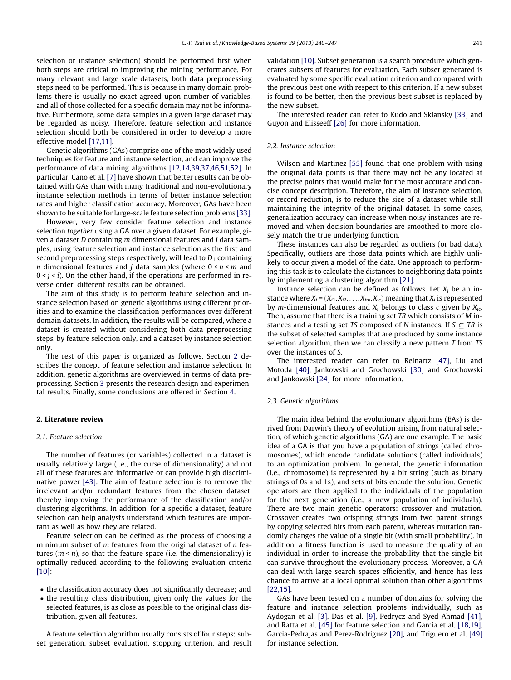selection or instance selection) should be performed first when both steps are critical to improving the mining performance. For many relevant and large scale datasets, both data preprocessing steps need to be performed. This is because in many domain problems there is usually no exact agreed upon number of variables, and all of those collected for a specific domain may not be informative. Furthermore, some data samples in a given large dataset may be regarded as noisy. Therefore, feature selection and instance selection should both be considered in order to develop a more effective model [\[17,11\].](#page--1-0)

Genetic algorithms (GAs) comprise one of the most widely used techniques for feature and instance selection, and can improve the performance of data mining algorithms [\[12,14,39,37,46,51,52\]](#page--1-0). In particular, Cano et al. [\[7\]](#page--1-0) have shown that better results can be obtained with GAs than with many traditional and non-evolutionary instance selection methods in terms of better instance selection rates and higher classification accuracy. Moreover, GAs have been shown to be suitable for large-scale feature selection problems [\[33\].](#page--1-0)

However, very few consider feature selection and instance selection together using a GA over a given dataset. For example, given a dataset D containing m dimensional features and i data samples, using feature selection and instance selection as the first and second preprocessing steps respectively, will lead to  $D_1$  containing *n* dimensional features and *j* data samples (where  $0 \le n \le m$  and  $0 \leq j \leq i$ ). On the other hand, if the operations are performed in reverse order, different results can be obtained.

The aim of this study is to perform feature selection and instance selection based on genetic algorithms using different priorities and to examine the classification performances over different domain datasets. In addition, the results will be compared, where a dataset is created without considering both data preprocessing steps, by feature selection only, and a dataset by instance selection only.

The rest of this paper is organized as follows. Section 2 describes the concept of feature selection and instance selection. In addition, genetic algorithms are overviewed in terms of data preprocessing. Section [3](#page--1-0) presents the research design and experimental results. Finally, some conclusions are offered in Section [4.](#page--1-0)

#### 2. Literature review

#### 2.1. Feature selection

The number of features (or variables) collected in a dataset is usually relatively large (i.e., the curse of dimensionality) and not all of these features are informative or can provide high discriminative power [\[43\].](#page--1-0) The aim of feature selection is to remove the irrelevant and/or redundant features from the chosen dataset, thereby improving the performance of the classification and/or clustering algorithms. In addition, for a specific a dataset, feature selection can help analysts understand which features are important as well as how they are related.

Feature selection can be defined as the process of choosing a minimum subset of  $m$  features from the original dataset of  $n$  features  $(m < n)$ , so that the feature space (i.e. the dimensionality) is optimally reduced according to the following evaluation criteria [\[10\]:](#page--1-0)

- the classification accuracy does not significantly decrease; and
- the resulting class distribution, given only the values for the selected features, is as close as possible to the original class distribution, given all features.

A feature selection algorithm usually consists of four steps: subset generation, subset evaluation, stopping criterion, and result validation [\[10\].](#page--1-0) Subset generation is a search procedure which generates subsets of features for evaluation. Each subset generated is evaluated by some specific evaluation criterion and compared with the previous best one with respect to this criterion. If a new subset is found to be better, then the previous best subset is replaced by the new subset.

The interested reader can refer to Kudo and Sklansky [\[33\]](#page--1-0) and Guyon and Elisseeff [\[26\]](#page--1-0) for more information.

#### 2.2. Instance selection

Wilson and Martinez [\[55\]](#page--1-0) found that one problem with using the original data points is that there may not be any located at the precise points that would make for the most accurate and concise concept description. Therefore, the aim of instance selection, or record reduction, is to reduce the size of a dataset while still maintaining the integrity of the original dataset. In some cases, generalization accuracy can increase when noisy instances are removed and when decision boundaries are smoothed to more closely match the true underlying function.

These instances can also be regarded as outliers (or bad data). Specifically, outliers are those data points which are highly unlikely to occur given a model of the data. One approach to performing this task is to calculate the distances to neighboring data points by implementing a clustering algorithm [\[21\].](#page--1-0)

Instance selection can be defined as follows. Let  $X_i$  be an instance where  $X_i = (X_{i1}, X_{i2}, \ldots, X_{im}, X_{ic})$  meaning that  $X_i$  is represented by *m*-dimensional features and  $X_i$  belongs to class c given by  $X_i$ . Then, assume that there is a training set TR which consists of M instances and a testing set TS composed of N instances. If  $S \subseteq TR$  is the subset of selected samples that are produced by some instance selection algorithm, then we can classify a new pattern  $T$  from  $TS$ over the instances of S.

The interested reader can refer to Reinartz [\[47\],](#page--1-0) Liu and Motoda [\[40\],](#page--1-0) Jankowski and Grochowski [\[30\]](#page--1-0) and Grochowski and Jankowski [\[24\]](#page--1-0) for more information.

#### 2.3. Genetic algorithms

The main idea behind the evolutionary algorithms (EAs) is derived from Darwin's theory of evolution arising from natural selection, of which genetic algorithms (GA) are one example. The basic idea of a GA is that you have a population of strings (called chromosomes), which encode candidate solutions (called individuals) to an optimization problem. In general, the genetic information (i.e., chromosome) is represented by a bit string (such as binary strings of 0s and 1s), and sets of bits encode the solution. Genetic operators are then applied to the individuals of the population for the next generation (i.e., a new population of individuals). There are two main genetic operators: crossover and mutation. Crossover creates two offspring strings from two parent strings by copying selected bits from each parent, whereas mutation randomly changes the value of a single bit (with small probability). In addition, a fitness function is used to measure the quality of an individual in order to increase the probability that the single bit can survive throughout the evolutionary process. Moreover, a GA can deal with large search spaces efficiently, and hence has less chance to arrive at a local optimal solution than other algorithms [\[22,15\]](#page--1-0).

GAs have been tested on a number of domains for solving the feature and instance selection problems individually, such as Aydogan et al. [\[3\]](#page--1-0), Das et al. [\[9\],](#page--1-0) Pedrycz and Syed Ahmad [\[41\],](#page--1-0) and Ratta et al. [\[45\]](#page--1-0) for feature selection and Garcia et al. [\[18,19\],](#page--1-0) Garcia-Pedrajas and Perez-Rodriguez [\[20\],](#page--1-0) and Triguero et al. [\[49\]](#page--1-0) for instance selection.